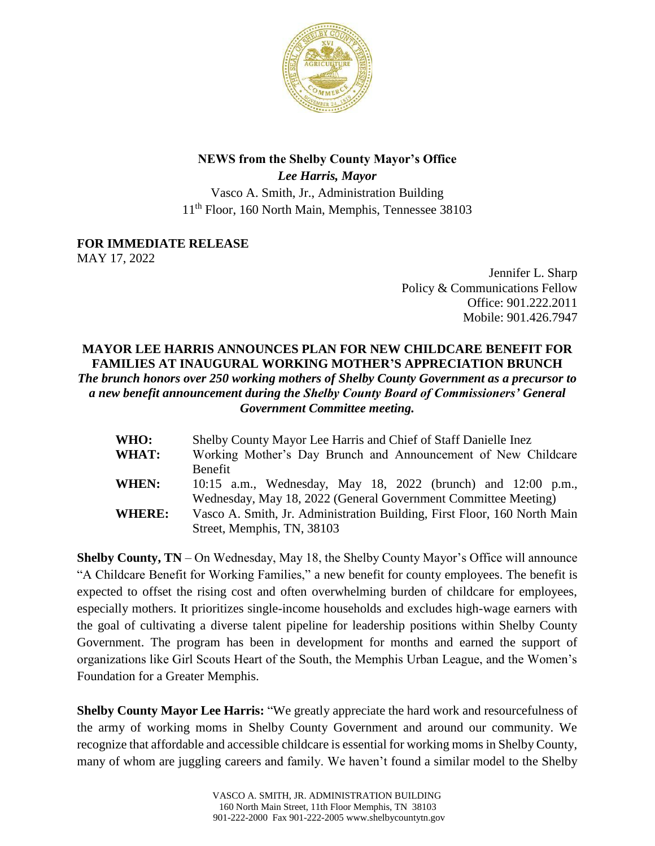

## **NEWS from the Shelby County Mayor's Office**

*Lee Harris, Mayor* Vasco A. Smith, Jr., Administration Building 11th Floor, 160 North Main, Memphis, Tennessee 38103

**FOR IMMEDIATE RELEASE**

MAY 17, 2022

Jennifer L. Sharp Policy & Communications Fellow Office: 901.222.2011 Mobile: 901.426.7947

## **MAYOR LEE HARRIS ANNOUNCES PLAN FOR NEW CHILDCARE BENEFIT FOR FAMILIES AT INAUGURAL WORKING MOTHER'S APPRECIATION BRUNCH** *The brunch honors over 250 working mothers of Shelby County Government as a precursor to a new benefit announcement during the Shelby County Board of Commissioners' General Government Committee meeting.*

| <b>WHO:</b>   | Shelby County Mayor Lee Harris and Chief of Staff Danielle Inez          |
|---------------|--------------------------------------------------------------------------|
| <b>WHAT:</b>  | Working Mother's Day Brunch and Announcement of New Childcare            |
|               | Benefit                                                                  |
| <b>WHEN:</b>  | 10:15 a.m., Wednesday, May 18, 2022 (brunch) and 12:00 p.m.,             |
|               | Wednesday, May 18, 2022 (General Government Committee Meeting)           |
| <b>WHERE:</b> | Vasco A. Smith, Jr. Administration Building, First Floor, 160 North Main |
|               | Street, Memphis, TN, 38103                                               |

**Shelby County, TN** – On Wednesday, May 18, the Shelby County Mayor's Office will announce "A Childcare Benefit for Working Families," a new benefit for county employees. The benefit is expected to offset the rising cost and often overwhelming burden of childcare for employees, especially mothers. It prioritizes single-income households and excludes high-wage earners with the goal of cultivating a diverse talent pipeline for leadership positions within Shelby County Government. The program has been in development for months and earned the support of organizations like Girl Scouts Heart of the South, the Memphis Urban League, and the Women's Foundation for a Greater Memphis.

**Shelby County Mayor Lee Harris:** "We greatly appreciate the hard work and resourcefulness of the army of working moms in Shelby County Government and around our community. We recognize that affordable and accessible childcare is essential for working moms in Shelby County, many of whom are juggling careers and family. We haven't found a similar model to the Shelby